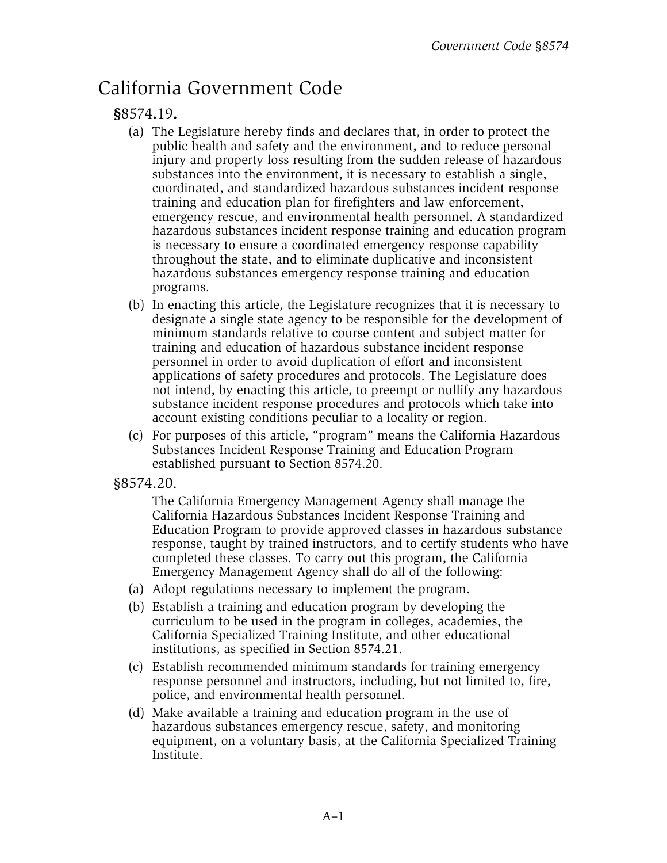## California Government Code

## **§**8574**.**19**.**

- (a) The Legislature hereby finds and declares that, in order to protect the public health and safety and the environment, and to reduce personal injury and property loss resulting from the sudden release of hazardous substances into the environment, it is necessary to establish a single, coordinated, and standardized hazardous substances incident response training and education plan for firefighters and law enforcement, emergency rescue, and environmental health personnel. A standardized hazardous substances incident response training and education program is necessary to ensure a coordinated emergency response capability throughout the state, and to eliminate duplicative and inconsistent hazardous substances emergency response training and education programs.
- (b) In enacting this article, the Legislature recognizes that it is necessary to designate a single state agency to be responsible for the development of minimum standards relative to course content and subject matter for training and education of hazardous substance incident response personnel in order to avoid duplication of effort and inconsistent applications of safety procedures and protocols. The Legislature does not intend, by enacting this article, to preempt or nullify any hazardous substance incident response procedures and protocols which take into account existing conditions peculiar to a locality or region.
- (c) For purposes of this article, "program" means the California Hazardous Substances Incident Response Training and Education Program established pursuant to Section 8574.20.
- §8574.20.

The California Emergency Management Agency shall manage the California Hazardous Substances Incident Response Training and Education Program to provide approved classes in hazardous substance response, taught by trained instructors, and to certify students who have completed these classes. To carry out this program, the California Emergency Management Agency shall do all of the following:

- (a) Adopt regulations necessary to implement the program.
- (b) Establish a training and education program by developing the curriculum to be used in the program in colleges, academies, the California Specialized Training Institute, and other educational institutions, as specified in Section 8574.21.
- (c) Establish recommended minimum standards for training emergency response personnel and instructors, including, but not limited to, fire, police, and environmental health personnel.
- (d) Make available a training and education program in the use of hazardous substances emergency rescue, safety, and monitoring equipment, on a voluntary basis, at the California Specialized Training Institute.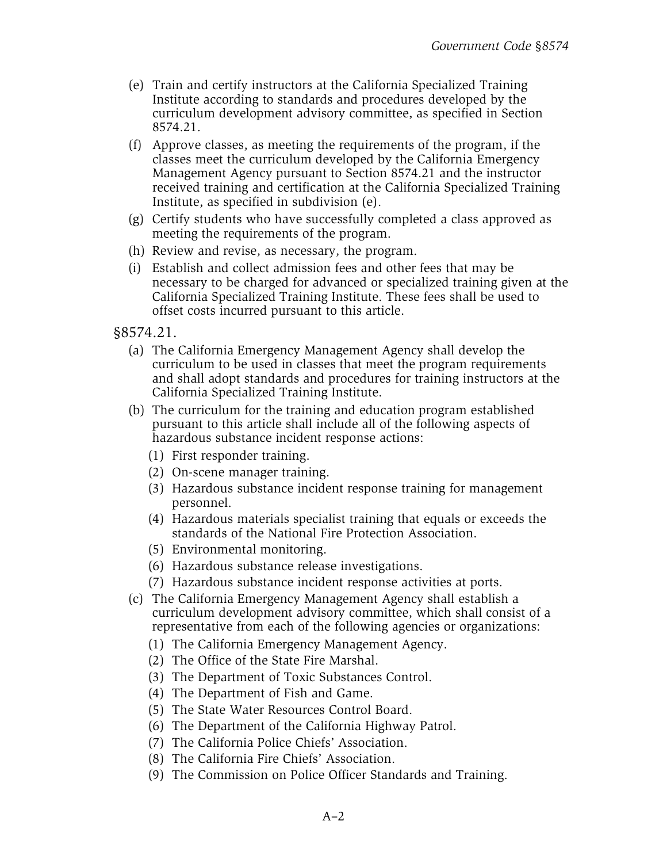- (e) Train and certify instructors at the California Specialized Training Institute according to standards and procedures developed by the curriculum development advisory committee, as specified in Section 8574.21.
- (f) Approve classes, as meeting the requirements of the program, if the classes meet the curriculum developed by the California Emergency Management Agency pursuant to Section 8574.21 and the instructor received training and certification at the California Specialized Training Institute, as specified in subdivision (e).
- (g) Certify students who have successfully completed a class approved as meeting the requirements of the program.
- (h) Review and revise, as necessary, the program.
- (i) Establish and collect admission fees and other fees that may be necessary to be charged for advanced or specialized training given at the California Specialized Training Institute. These fees shall be used to offset costs incurred pursuant to this article.

§8574.21.

- (a) The California Emergency Management Agency shall develop the curriculum to be used in classes that meet the program requirements and shall adopt standards and procedures for training instructors at the California Specialized Training Institute.
- (b) The curriculum for the training and education program established pursuant to this article shall include all of the following aspects of hazardous substance incident response actions:
	- (1) First responder training.
	- (2) On-scene manager training.
	- (3) Hazardous substance incident response training for management personnel.
	- (4) Hazardous materials specialist training that equals or exceeds the standards of the National Fire Protection Association.
	- (5) Environmental monitoring.
	- (6) Hazardous substance release investigations.
	- (7) Hazardous substance incident response activities at ports.
- (c) The California Emergency Management Agency shall establish a curriculum development advisory committee, which shall consist of a representative from each of the following agencies or organizations:
	- (1) The California Emergency Management Agency.
	- (2) The Office of the State Fire Marshal.
	- (3) The Department of Toxic Substances Control.
	- (4) The Department of Fish and Game.
	- (5) The State Water Resources Control Board.
	- (6) The Department of the California Highway Patrol.
	- (7) The California Police Chiefs' Association.
	- (8) The California Fire Chiefs' Association.
	- (9) The Commission on Police Officer Standards and Training.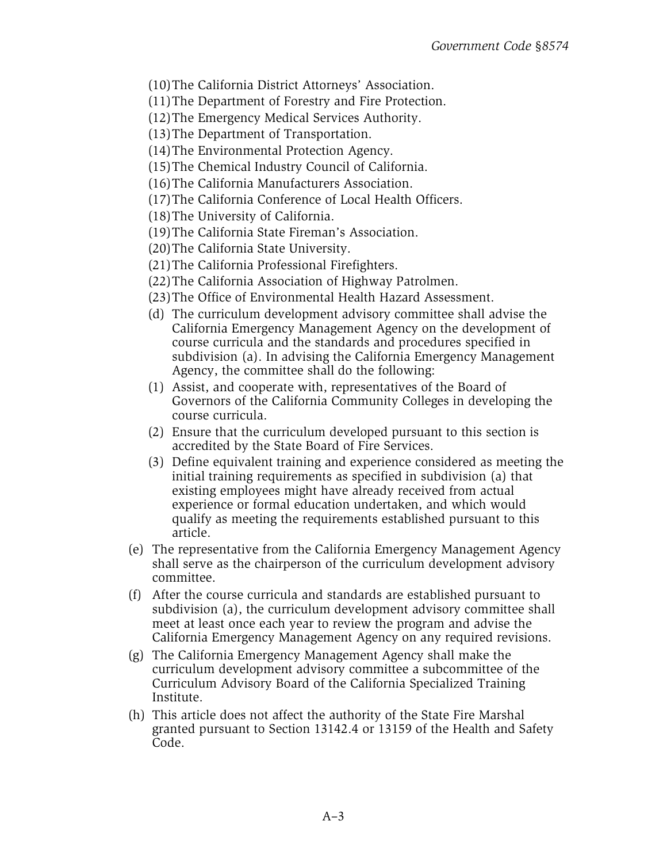- (10)The California District Attorneys' Association.
- (11)The Department of Forestry and Fire Protection.
- (12)The Emergency Medical Services Authority.
- (13)The Department of Transportation.
- (14)The Environmental Protection Agency.
- (15)The Chemical Industry Council of California.
- (16)The California Manufacturers Association.
- (17)The California Conference of Local Health Officers.
- (18)The University of California.
- (19)The California State Fireman's Association.
- (20)The California State University.
- (21)The California Professional Firefighters.
- (22)The California Association of Highway Patrolmen.
- (23)The Office of Environmental Health Hazard Assessment.
- (d) The curriculum development advisory committee shall advise the California Emergency Management Agency on the development of course curricula and the standards and procedures specified in subdivision (a). In advising the California Emergency Management Agency, the committee shall do the following:
- (1) Assist, and cooperate with, representatives of the Board of Governors of the California Community Colleges in developing the course curricula.
- (2) Ensure that the curriculum developed pursuant to this section is accredited by the State Board of Fire Services.
- (3) Define equivalent training and experience considered as meeting the initial training requirements as specified in subdivision (a) that existing employees might have already received from actual experience or formal education undertaken, and which would qualify as meeting the requirements established pursuant to this article.
- (e) The representative from the California Emergency Management Agency shall serve as the chairperson of the curriculum development advisory committee.
- (f) After the course curricula and standards are established pursuant to subdivision (a), the curriculum development advisory committee shall meet at least once each year to review the program and advise the California Emergency Management Agency on any required revisions.
- (g) The California Emergency Management Agency shall make the curriculum development advisory committee a subcommittee of the Curriculum Advisory Board of the California Specialized Training Institute.
- (h) This article does not affect the authority of the State Fire Marshal granted pursuant to Section 13142.4 or 13159 of the Health and Safety Code.